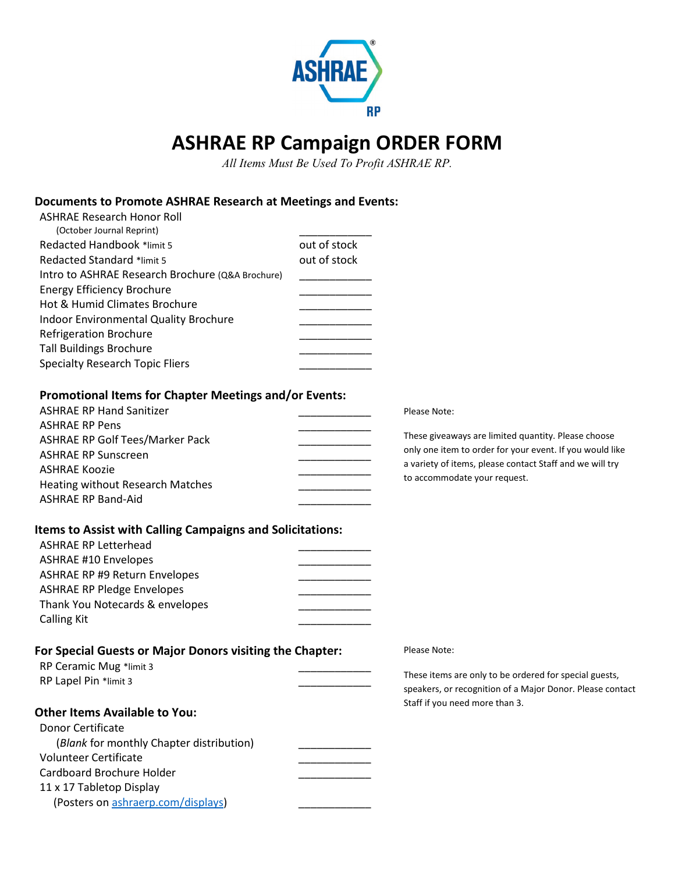

## **ASHRAE RP Campaign ORDER FORM**

*All Items Must Be Used To Profit ASHRAE RP.*

## **Documents to Promote ASHRAE Research at Meetings and Events:**

| <b>ASHRAE Research Honor Roll</b><br>(October Journal Reprint)   |              |                                                           |
|------------------------------------------------------------------|--------------|-----------------------------------------------------------|
| Redacted Handbook *limit 5                                       | out of stock |                                                           |
| Redacted Standard *limit 5                                       | out of stock |                                                           |
| Intro to ASHRAE Research Brochure (Q&A Brochure)                 |              |                                                           |
| <b>Energy Efficiency Brochure</b>                                |              |                                                           |
| Hot & Humid Climates Brochure                                    |              |                                                           |
| Indoor Environmental Quality Brochure                            |              |                                                           |
| <b>Refrigeration Brochure</b>                                    |              |                                                           |
| <b>Tall Buildings Brochure</b>                                   |              |                                                           |
| <b>Specialty Research Topic Fliers</b>                           |              |                                                           |
|                                                                  |              |                                                           |
| <b>Promotional Items for Chapter Meetings and/or Events:</b>     |              |                                                           |
| <b>ASHRAE RP Hand Sanitizer</b>                                  |              | Please Note:                                              |
| <b>ASHRAE RP Pens</b>                                            |              | These giveaways are limited quantity. Please choose       |
| <b>ASHRAE RP Golf Tees/Marker Pack</b>                           |              | only one item to order for your event. If you would like  |
| <b>ASHRAE RP Sunscreen</b>                                       |              | a variety of items, please contact Staff and we will try  |
| <b>ASHRAE Koozie</b>                                             |              | to accommodate your request.                              |
| Heating without Research Matches                                 |              |                                                           |
| <b>ASHRAE RP Band-Aid</b>                                        |              |                                                           |
| <b>Items to Assist with Calling Campaigns and Solicitations:</b> |              |                                                           |
| <b>ASHRAE RP Letterhead</b>                                      |              |                                                           |
| <b>ASHRAE #10 Envelopes</b>                                      |              |                                                           |
| <b>ASHRAE RP #9 Return Envelopes</b>                             |              |                                                           |
| <b>ASHRAE RP Pledge Envelopes</b>                                |              |                                                           |
| Thank You Notecards & envelopes                                  |              |                                                           |
| <b>Calling Kit</b>                                               |              |                                                           |
|                                                                  |              |                                                           |
| For Special Guests or Major Donors visiting the Chapter:         |              | Please Note:                                              |
| RP Ceramic Mug *limit 3                                          |              |                                                           |
| RP Lapel Pin *limit 3                                            |              | These items are only to be ordered for special guests,    |
|                                                                  |              | speakers, or recognition of a Major Donor. Please contact |
| <b>Other Items Available to You:</b>                             |              | Staff if you need more than 3.                            |
| Donor Certificate                                                |              |                                                           |
| (Blank for monthly Chapter distribution)                         |              |                                                           |
| <b>Volunteer Certificate</b>                                     |              |                                                           |
| Cardboard Brochure Holder                                        |              |                                                           |
| 11 x 17 Tabletop Display                                         |              |                                                           |
| (Posters on ashraerp.com/displays)                               |              |                                                           |